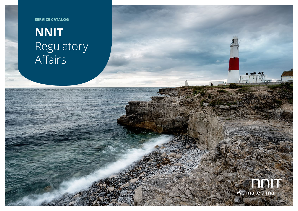**SERVICE CATALOG**

# **NNIT** Regulatory Affairs



**ELLER MILL** 

 $\mathbf{T} = 0$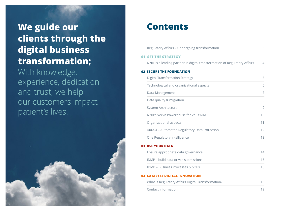# **We guide our clients through the digital business transformation;**

With knowledge, experience, dedication and trust, we help our customers impact patient's lives.



### **Contents**

|     | Regulatory Affairs - Undergoing transformation                            | 3  |
|-----|---------------------------------------------------------------------------|----|
|     | <b>01 SET THE STRATEGY</b>                                                |    |
|     | NNIT is a leading partner in digital transformation of Regulatory Affairs | 4  |
|     | <b>02 SECURE THE FOUNDATION</b>                                           |    |
|     | <b>Digital Transformation Strategy</b>                                    | 5  |
|     | Technological and organizational aspects                                  | 6  |
|     | Data Management                                                           | 7  |
|     | Data quality & migration                                                  | 8  |
|     | System Architecture                                                       | 9  |
|     | NNIT's Veeva Powerhouse for Vault RIM                                     | 10 |
|     | Organizational aspects                                                    | 11 |
|     | Aura-X - Automated Regulatory Data Extraction                             | 12 |
|     | One Regulatory Intelligence                                               | 13 |
|     | <b>03 USE YOUR DATA</b>                                                   |    |
|     | Ensure appropriate data governance                                        | 14 |
|     | IDMP - build data-driven submissions                                      | 15 |
|     | IDMP - Business Processes & SOPs                                          | 16 |
| 04. | <b>CATALYZE DIGITAL INNOVATION</b>                                        |    |
|     | What is Regulatory Affairs Digital Transformation?                        | 18 |
|     | Contact information                                                       | 19 |
|     |                                                                           |    |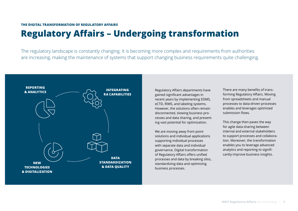## <span id="page-2-0"></span>**Regulatory Affairs – Undergoing transformation**

The regulatory landscape is constantly changing. It is becoming more complex and requirements from authorities are increasing, making the maintenance of systems that support changing business requirements quite challenging.



Regulatory Affairs departments have gained significant advantages in recent years by implementing EDMS, eCTD, RIMS, and labeling systems. However, the solutions often remain disconnected, slowing business processes and data sharing, and presenting vast potential for optimization.

We are moving away from point solutions and individual applications supporting individual processes with separate data and individual governance. Digital transformation of Regulatory Affairs offers unified processes and data by breaking silos, standardizing data and optimizing business processes.

There are many benefits of transforming Regulatory Affairs. Moving from spreadsheets and manual processes to data-driven processes enables and leverages optimized submission flows.

This change then paves the way for agile data-sharing between internal and external stakeholders to support processes and collaboration. Moreover, the transformation enables you to leverage advanced analytics and reporting to significantly improve business insights.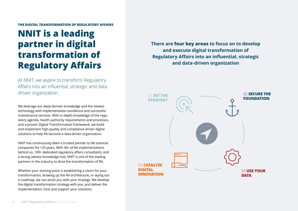#### <span id="page-3-0"></span>**THE DIGITAL TRANSFORMATION OF REGULATORY AFFAIRS**

## **NNIT is a leading partner in digital transformation of Regulatory Affairs**

At NNIT, we aspire to transform Regulatory Affairs into an influential, strategic and data driven organization.

We leverage our deep domain knowledge and the newest technology with implementation excellence and successful maintenance services. With in-depth knowledge of the regu latory agenda, health authority requirements and processes, and a proven Digital Transformation framework, we build and implement high-quality and compliance-driven digital solutions to help RA become a data-driven organization.

NNIT has continuously been a trusted partner to life sciences companies for +25 years. With 30+ of RA implementations behind us, 100+ dedicated regulatory affairs consultants, and a strong advisor knowledge hub, NNIT is one of the leading partners in the industry to drive the transformation of RA.

Whether your starting point is establishing a vision for your transformation, drawing up the RA architecture, or laying out a roadmap, we can assist you with your strategy. We develop the digital transformation strategy with you, and deliver the implementation, host and support your solutions.

**There are four key areas to focus on to develop and execute digital transformation of Regulatory Affairs into an influential, strategic and data-driven organization**

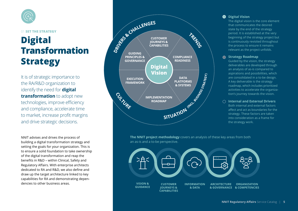<span id="page-4-0"></span>

01 **SET THE STRATEGY**

# **Digital Transformation Strategy**

It is of strategic importance to the RA/R&D organization to identify the need for **digital transformation** to adopt new technologies, improve efficiency and compliance, accelerate time to market, increase profit margins and drive strategic decisions.

NNIT advises and drives the process of building a digital transformation strategy and setting the goals for your organization. This is to ensure a solid foundation to take ownership of the digital transformation and reap the benefits in R&D – within Clinical, Safety and Regulatory Affairs. With enterprise architects dedicated to RA and R&D, we also define and draw up the target architecture linked to key capabilities for RA and demonstrating dependencies to other business areas.



**The NNIT project methodology** covers an analysis of these key areas from both an as-is and a to-be perspective.



### **O** Digital Vision

The digital vision is the core element that communicates the desired state by the end of the strategy period. It is established at the very beginning of the strategy project but is continuously revisited throughout the process to ensure it remains relevant as the project unfolds.

### **Strategy Roadmap**

Guided by the vision, the strategy deliverables are developed through an analysis of as-is compared to aspirations and possibilities, which are consolidated in a to-be design. A key deliverable is the strategy roadmap, which includes prioritized activities to accelerate the organization's journey towards the vision.

### **Internal and External Drivers**

Both internal and external factors affect and act as boundaries for the strategy. These factors are taken into consideration as a frame for the strategy work.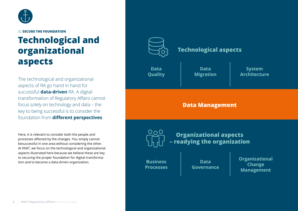<span id="page-5-0"></span>

# **Technological and organizational aspects**

The technological and organizational aspects of RA go hand in hand for successful **data-driven** RA. A digital transformation of Regulatory Affairs cannot focus solely on technology and data – the key to being successful is to consider the foundation from **different perspectives**.

Here, it is relevant to consider both the people and processes affected by the changes. You simply cannot besuccessful in one area without considering the other. At NNIT, we focus on the technological and organizational aspects illustrated here because we believe these are key to securing the proper foundation for digital transformation and to become a data-driven organization. **Business** 



### **Technological aspects**

**Data Quality**

**Data Migration**

**System Architecture**

### **Data Management**

 $O_0C$ 

**Organizational aspects – readying the organization**

**Processes**

**Data Governance** **Organizational Change Management**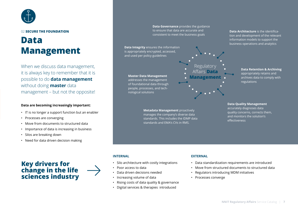<span id="page-6-0"></span>

## **Data Management**

When we discuss data management, it is always key to remember that it is possible to do **data management** without doing **master** data management – but not the opposite!

### **Data are becoming increasingly important:**

- IT is no longer a support function but an enabler
- Processes are converging
- Move from documents to structured data
- Importance of data is increasing in business
- Silos are breaking down
- Need for data driven decision making



**Data Governance** provides the guidance to ensure that data are accurate and consistent to meet the business goals

**Data Integrity** ensures the information is appropriately encrypted, accessed, and used per policy guidelines

**Master Data Management**  addresses the management

of foundational data through people, processes, and technological solutions

> **Metadata Management** proactively manages the company's diverse data standards. This includes the IDMP data standards and EMA's CVs in RMS.

Regulator Affairs **Data Management**

**Data Architecture** is the identification and development of the relevant information models to support the business operations and analytics

### **Data Retention & Archiving** appropriately retains and archives data to comply with regulations

**Data Quality Management** accurately diagnoses data quality concerns, corrects them, and monitors the solution's effectiveness

### **INTERNAL**

- Silo architecture with costly integrations
- Poor access to data
- Data driven decisions needed
- Increasing volume of data
- Rising costs of data quality & governance
- Digital services & therapies introduced

### **EXTERNAL**

- Data standardization requirements are introduced
- Move from structured documents to structured data
- Regulators introducing MDM initiatives
- Processes converge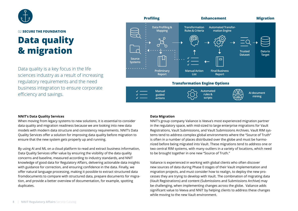<span id="page-7-0"></span>

### 02 **SECURE THE FOUNDATION Data quality & migration**

Data quality is a key focus in the life sciences industry as a result of increasing regulatory requirements and the need business integration to ensure corporate efficiency and savings.



### **NNIT's Data Quality Services**

When moving from legacy systems to new solutions, it is essential to consider data quality and migration readiness because we are looking into new data models with modern data structure and consistency requirements. NNIT's Data Quality Services offer a solution for improving data quality before migration to ensure that the new system gets properly up and running.

By using AI and ML on a cloud platform to read and extract business information, Data Quality Services offer value by ensuring the visibility of the data quality concerns and baseline, measured according to industry standards, and NNIT knowledge of good data for Regulatory Affairs, delivering actionable data insights with guidance for correction, and ensuring confidence in the data. Finally, we offer natural language processing, making it possible to extract structured data fromdocuments to compare with structured data, prepare documents for migration, and provide a better overview of documentation, for example, spotting duplicates.

### **Data Migration**

NNIT's group company Valiance is Veeva's most experienced migration partner in the regulatory space, with mid-sized to large enterprise migrations for Vault Registrations, Vault Submissions, and Vault Submissions Archives. Vault RIM systems tend to address complex global environments where the "Source of Truth" is often in a number of places distributed over the globe and must be harmonized before being migrated into Vault. These migrations tend to address one or two central RIM systems, with many outliers in a variety of locations, which need to be brought together in one new "Source of Truth."

Valiance is experienced in working with global clients who often discover new sources of data during Phase 0 stages of their Vault implementation and migration projects, and must consider how to realign, to deploy the new processes they are trying to develop with Vault. The combination of migrating data (Vault Registrations) and content (Submissions and Submissions Archive) may be challenging, when implementing changes across the globe. Valiance adds significant value to Veeva and NNIT by helping clients to address these changes while moving to the new Vault environment.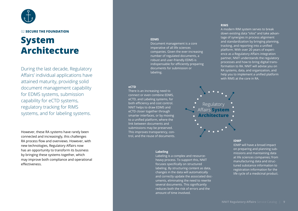<span id="page-8-0"></span>

### **System Architecture**

During the last decade, Regulatory Affairs' individual applications have attained maturity, providing solid document management capability for EDMS systems, submission capability for eCTD systems, regulatory tracking for RIMS systems, and for labeling systems.

However, these RA systems have rarely been connected and increasingly, this challenges RA process flow and overviews. However, with new technologies, Regulatory Affairs now has an opportunity to transform its business by bringing these systems together, which may improve both compliance and operational effectiveness.

#### **EDMS**

Document management is a core imperative of all life sciences companies. Given the ever-increasing number of regulated documents, a robust and user-friendly EDMS is indispensable for efficiently preparing documents for submission or labeling.

#### **eCTD**

There is an increasing need to connect or even combine EDMS, eCTD, and Labeling systems, for both efficiency and cost control. NNIT helps to draw EDMS and eCTD closer together through smarter interfaces, or by moving to a unified platform, where the link between documents and submissions may be preserved. This improves transparency, control, and the reuse of documents.

#### **Labeling**

Labeling is a complex and resourceheavy process. To support this, NNIT focuses specifically on structured labeling. By structuring content as data, changes in the data will automatically and correctly update the associated documents, eliminating the need to rewrite several documents. This significantly reduces both the risk of errors and the amount of time involved.

#### **RIMS**

A modern RIM system serves to break down existing data "silos" and take advantage of synergies in process alignment and standardization by bringing planning, tracking, and reporting into a unified platform. With over 20 years of experience as a Regulatory Affairs integration partner, NNIT understands the regulatory processes and how to bring digital transformation to RA. NNIT will advise you on RA systems, data, and organization, and help you to implement a unified platform with RIMS at the core in RA.



#### **IDMP**

IDMP will have a broad impact on preparing and planning submissions and maintaining data at life sciences companies; from manufacturing data and structured substance information to registration information for the life cycle of a medicinal product.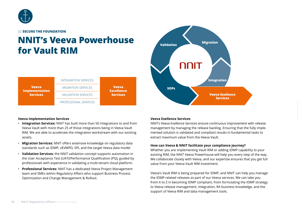<span id="page-9-0"></span>

## **NNIT's Veeva Powerhouse for Vault RIM**



### **Veeva Implementation Services**

- **Integration Services:** NNIT has built more than 50 integrations to and from Veeva Vault with more than 25 of those integrations being in Veeva Vault RIM. We are able to accelerate the integration workstream with our existing assets.
- **Migration Services:** NNIT offers extensive knowledge on regulatory data standards such as IDMP, xEVMPD, SPL and the target Veeva data model.
- **Validation Services:** the NNIT validation concept supports automation in the User Acceptance Test (UAT)/Performance Qualification (PQ), guided by professionals with experience in validating a multi-tenant cloud platform.
- **Professional Services:** NNIT has a dedicated Veeva Project Management team and SMEs within Regulatory Affairs who support Business Process Optimization and Change Management & Rollout.



### **Veeva Exellence Services**

NNIT's Veeva Exellence Services ensure continuous improvement with release management by managing the release backlog. Ensuring that the fully implemented solution is validated and compliant results in fundamental tasks to extract maximum value from the Veeva Vault.

### **How can Veeva & NNIT facilitate your compliance journey?**

Whether you are implementing Vault RIM or adding IDMP capability to your existing RIM, the NNIT Veeva Powerhouse will help you every step of the way. We collaborate closely with Veeva, and our expertise ensures that you get full value from your Veeva Vault RIM investment.

Veeva's Vault RIM is being prepared for IDMP, and NNIT can help you manage the IDMP-related releases as part of our Veeva services. We can take you from A to Z in becoming IDMP compliant, from formulating the IDMP strategy to Veeva release management, integration, RA business knowledge, and the support of Veeva RIM and data management tools.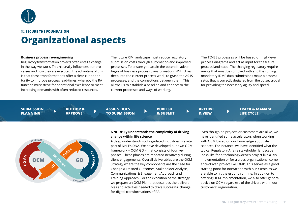<span id="page-10-0"></span>

### **Organizational aspects**

#### **Business process re-engineering**

Regulatory transformation projects often entail a change in the way we work. This naturally influences our processes and how they are executed. The advantage of this is that these transformations offer a clear-cut opportunity to improve process lead-times, whereby the RA function must strive for operational excellence to meet increasing demands with often reduced resources.

The future RIM landscape must reduce regulatory submission costs through automation and improved processes. To ensure you attain the potential advantages of business process transformation, NNIT dives deep into the current process-work, to grasp the AS-IS processes, and the connections between them. This allows us to establish a baseline and connect to the current processes and ways of working.

The TO-BE processes will be based on high-level process diagrams and act as input for the future process landscape. The changing regulatory requirements that must be complied with and the coming, mandatory IDMP data submissions make a process setup that is correctly designed from the outset crucial for providing the necessary agility and speed.

**SUBMISSION PLANNING**

**AUTHOR & APPROVE**

**ASSIGN DOCS TO SUBMISSION** **PUBLISH & SUBMIT** **ARCHIVE & VIEW**

**TRACK & MANAGE LIFE CYCLE**



### **NNIT truly understands the complexity of driving change within life science**

 $\blacktriangleright$ 

A deep understanding of regulated industries is a vital part of NNIT's DNA. We have developed our own OCM framework – OCM GO – that consists of four key phases. These phases are repeated iteratively during client engagements. Overall deliverables are the OCM Strategy where the key components are the Case for Change & Desired Outcomes, Stakeholder Analysis, Communications & Engagement Approach and Training Approach. For the execution of the strategy, we prepare an OCM Plan that describes the deliverables and activities needed to drive successful change for digital transformations of RA.

Even though no projects or customers are alike, we have identified some accelerators when working with OCM based on our knowledge about life sciences. For instance, we have identified what the typical Regulatory Affairs stakeholder landscape looks like for a technology-driven project like a RIM implementation or for a cross-organisational compliance-driven project like IDMP. This serves as a good starting point for interaction with our clients as we are able to hit the ground running. In addition to offering OCM implementation, we also offer general advice on OCM regardless of the drivers within our customers' organization.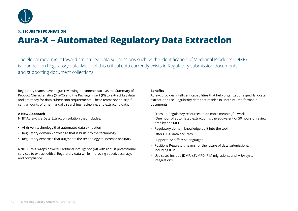<span id="page-11-0"></span>

## **Aura-X – Automated Regulatory Data Extraction**

The global movement toward structured data submissions such as the Identification of Medicinal Products (IDMP) is founded on Regulatory data. Much of this critical data currently exists in Regulatory submission documents and supporting document collections.

Regulatory teams have begun reviewing documents such as the Summary of Product Characteristics (SmPC) and the Package Insert (PI) to extract key data and get ready for data submission requirements. These teams spend significant amounts of time manually searching, reviewing, and extracting data.

### **A New Approach**

NNIT Aura-X is a Data Extraction solution that includes:

- AI-driven technology that automates data extraction
- Regulatory domain knowledge that is built into the technology
- Regulatory expertise that augments the technology to increase accuracy

NNIT Aura-X wraps powerful artificial intelligence (AI) with robust professional services to extract critical Regulatory data while improving speed, accuracy, and compliance.

### **Benefits**

Aura-X provides intelligent capabilities that help organizations quickly locate, extract, and use Regulatory data that resides in unstructured format in documents.

- Frees up Regulatory resources to do more meaningful work (One hour of automated extraction is the equivalent of 50 hours of review time by an SME)
- Regulatory domain knowledge built into the tool
- Offers 98% data accuracy
- Supports 72 different languages
- Positions Regulatory teams for the future of data submissions, including IDMP
- Use cases include IDMP, xEVMPD, RIM migrations, and M&A system integrations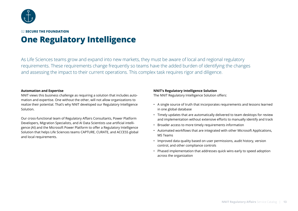<span id="page-12-0"></span>

### 02 **SECURE THE FOUNDATION One Regulatory Intelligence**

As Life Sciences teams grow and expand into new markets, they must be aware of local and regional regulatory requirements. These requirements change frequently so teams have the added burden of identifying the changes and assessing the impact to their current operations. This complex task requires rigor and diligence.

### **Automation and Expertise**

NNIT views this business challenge as requiring a solution that includes automation and expertise. One without the other, will not allow organizations to realize their potential. That's why NNIT developed our Regulatory Intelligence Solution.

Our cross-functional team of Regulatory Affairs Consultants, Power Platform Developers, Migration Specialists, and AI Data Scientists use artificial intelligence (AI) and the Microsoft Power Platform to offer a Regulatory Intelligence Solution that helps Life Sciences teams CAPTURE, CURATE, and ACCESS global and local requirements.

### **NNIT's Regulatory Intelligence Solution**

The NNIT Regulatory Intelligence Solution offers:

- A single source of truth that incorporates requirements and lessons learned in one global database
- Timely updates that are automatically delivered to team desktops for review and implementation without extensive efforts to manually identify and track
- Broader access to more timely requirements information
- Automated workflows that are integrated with other Microsoft Applications, MS Teams
- Improved data quality based on user permissions, audit history, version control, and other compliance controls
- Phased implementation that addresses quick wins early to speed adoption across the organization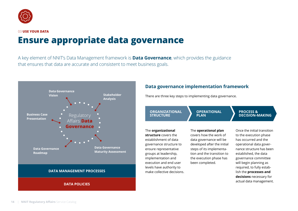<span id="page-13-0"></span>

# **Ensure appropriate data governance**

A key element of NNIT's Data Management framework is **Data Governance**, which provides the guidance that ensures that data are accurate and consistent to meet business goals.



### **Data governance implementation framework**

There are three key steps to implementing data governance.

**ORGANIZATIONAL STRUCTURE**

The **organizational structure** covers the establishment of data governance structure to ensure representative groups at leadership, implementation and execution and end user levels have authority to make collective decisions. **OPERATIONAL PLAN**

### The **operational plan**

covers how the work of data governance will be developed after the initial steps of its implementation and the transition to the execution phase has been completed.

Once the initial transition to the execution phase has occurred and the operational data governance structure has been established, the data governance committee will begin planning as required, to fully establish the **processes and decisions** necessary for actual data management.

**PROCESS &** 

**DECISION-MAKING**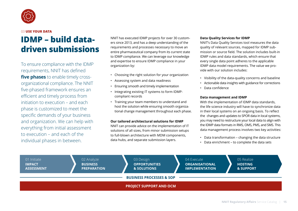<span id="page-14-0"></span>

#### 03 **USE YOUR DATA**

### **IDMP – build datadriven submissions**

To ensure compliance with the IDMP requirements, NNIT has defined **five phases** to enable timely crossorganizational compliance. The NNIT five-phased framework ensures an efficient and timely process from initiation to execution – and each phase is customized to meet the specific demands of your business and organization. We can help with everything from initial assessment to execution – and each of the individual phases in between.

NNIT has executed IDMP projects for over 30 customers since 2013, and has a deep understanding of the requirements and processes necessary to move an entire pharmaceutical company from its current state to IDMP compliance. We can leverage our knowledge and expertise to ensure IDMP compliance in your organization by:

- Choosing the right solution for your organization
- Assessing system and data readiness
- Ensuring smooth and timely implementation
- Integrating existing IT systems to form IDMPcompliant records
- Training your team members to understand and host the solution while ensuring smooth organizational change management throughout each phase.

### **Our tailored architectural solutions for IDMP**

NNIT can provide advice on the implementation of IT solutions of all sizes, from minor submission setups to full-blown architecture with MDM components, data hubs, and separate submission layers.

#### **Data Quality Services for IDMP**

NNIT's Data Quality Services tool measures the data quality of relevant sources, mapped for IDMP submission or source field. The solution includes built-in IDMP rules and data standards, which ensure that every single data point adheres to the applicable IDMP data model requirements. The value we provide with our solution includes:

- Visibility of the data-quality concerns and baseline
- Actionable data insights with guidance for corrections
- Data confidence

#### **Data management and IDMP**

With the implementation of IDMP data standards, the life science industry will have to synchronize data in their local systems on an ongoing basis. To reflect the changes and updates to SPOR data in local systems, you may need to restructure your local data to align with the IDMP data formats in RMS, OMS, PMS, and SMS. This data management process involves two key activities:

- Data transformation changing the data structure
- Data enrichment to complete the data sets

| 01 Initiate<br><b>IMPACT</b><br><b>ASSESSMENT</b> | 02 Analyze<br><b>BUSINESS</b><br><b>PREPARATION</b> | 03 Design<br><b>OPPORTUNITIES</b><br>& SOLUTIONS | 04 Execute<br><b>ORGANISATIONAL</b><br><b>IMPLEMENTATION</b> | 05 Realize<br><b>HOSTING</b><br>& SUPPORT |  |  |  |
|---------------------------------------------------|-----------------------------------------------------|--------------------------------------------------|--------------------------------------------------------------|-------------------------------------------|--|--|--|
| <b>BUSINESS PROCESSES &amp; SOP</b>               |                                                     |                                                  |                                                              |                                           |  |  |  |
| <b>PROJECT SUPPORT AND OCM</b>                    |                                                     |                                                  |                                                              |                                           |  |  |  |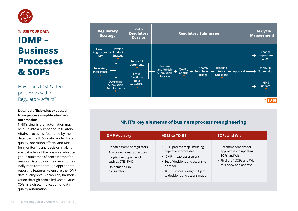<span id="page-15-0"></span>

03 **USE YOUR DATA**

# **IDMP – Business Processes & SOPs**

How does IDMP affect processes within Regulatory Affairs?

### **Detailed efficiencies expected from process simplification and automation**

NNIT's view is that automation may be built into a number of Regulatory Affairs processes, facilitated by the data, per the IDMP data model. Data quality, operation efforts, and KPIs for monitoring and decision-making are just a few of the possible advantageous outcomes of process transformation. Data quality may be automatically monitored through appropriate reporting features, to ensure the IDMP data quality level. Vocabulary harmonization through controlled vocabularies (CVs) is a direct implication of data quality automation.



### **NNIT's key elements of business process reengineering**

| <b>IDMP Advisory</b>                                                                                                                                | <b>AS-IS to TO-BE</b>                                                                                                                                                                                | <b>SOPs and WIS</b>                                                                                                      |
|-----------------------------------------------------------------------------------------------------------------------------------------------------|------------------------------------------------------------------------------------------------------------------------------------------------------------------------------------------------------|--------------------------------------------------------------------------------------------------------------------------|
| Updates from the regulators<br>• Advice on industry practices<br>Insight into dependencies<br>such as CTIS, FMD<br>• On-demand IDMP<br>consultation | • AS-IS process map, including<br>dependent processes<br>• IDMP impact assessment<br>• Set of decisions and actions to<br>be made<br>• TO-BE process design subject<br>to decisions and actions made | • Recommendations for<br>approaches to updating<br>SOPs and WIs<br>• Final draft SOPs and WIs<br>for review and approval |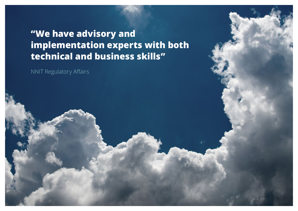# **"We have advisory and implementation experts with both technical and business skills"**

NNIT Regulatory Affairs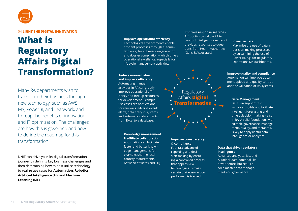<span id="page-17-0"></span>

### 04 **LIGHT THE DIGITAL INNOVATION**

## **What is Regulatory Affairs Digital Transformation?**

Many RA departments wish to transform their business through new technology, such as AWS, MS, PowerBI, and Leapwork, and to reap the benefits of innovation and IT optimization. The challenges are how this is governed and how to define the roadmap for this transformation.

NNIT can drive your RA digital transformation journey by defining key business challenges and then determining how to best utilize technology to realize use cases for **Automation**, **Robotics**, **Artificial Intelligence** (AI), and **Machine Learning** (ML).

#### **Improve operational efficiency**

Technological advancements enable efficient processes through automation – e.g. for submission-generation and dossier compilation – which drives operational excellence, especially for life cycle management activities.

#### **Reduce manual labor and improve efficiency**

Automating manual activities in RA can greatly improve operational efficiency and free up resources for development. Example use cases are notifications for renewals, adverse events alerts, data entry in systems and automatic data extracts from Excel to a database.

### **Knowledge management & affiliate collaboration** Automation can facilitate faster and better knowl-

edge management, for example, sharing local country requirements between affiliates and HQ.

### **Improve response searches**

AI/robotics can allow RA to conduct intelligent searches of previous responses to questions from Health Authorities (Gens & Associates)



### **Improve transparency & compliance**

Facilitate advanced reporting and decision-making by ensuring a controlled process that applies RPA technologies to make certain that every action performed is tracked.

#### **Visualize data**

Maximize the use of data in decision-making processes by streamlining the use of Power BI, e.g. for Regulatory Operations KPI dashboards.

### **Improve quality and compliance**

Automation can improve document upload and quality control, and the validation of RA systems.

### **Data Management**

Data can support fast, valuable insights and facilitate intelligent forecasting and timely decision-making – also in RA. A solid foundation, with suitable governance, management, quality, and metadata, is key to apply useful data intelligence or analytics.

#### **Data that drive regulatory intelligence**

Advanced analytics, ML, and AI unlock data potential like never before, but require solid master data management and governance.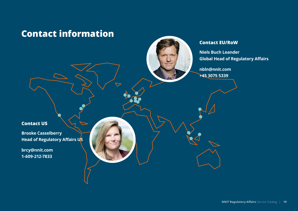### <span id="page-18-0"></span>**Contact information**

### **Contact EU/RoW**

**Niels Buch Leander Global Head of Regulatory Affairs**

**nbln@nnit.com +45 3075 5339**

### **Contact US**

**Brooke Casselberry Head of Regulatory Affairs US**

**brcy@nnit.com 1-609-212-7833**